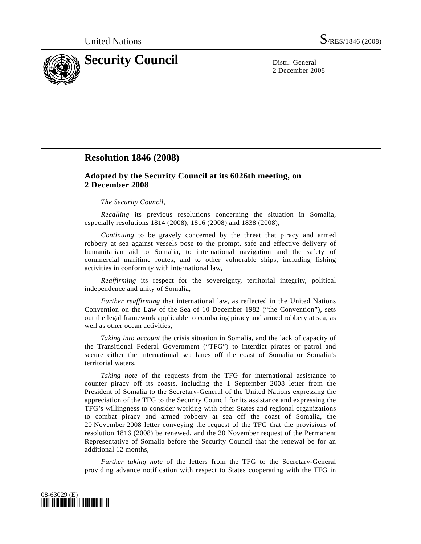

2 December 2008

## **Resolution 1846 (2008)**

## **Adopted by the Security Council at its 6026th meeting, on 2 December 2008**

## *The Security Council*,

*Recalling* its previous resolutions concerning the situation in Somalia, especially resolutions 1814 (2008), 1816 (2008) and 1838 (2008),

*Continuing* to be gravely concerned by the threat that piracy and armed robbery at sea against vessels pose to the prompt, safe and effective delivery of humanitarian aid to Somalia, to international navigation and the safety of commercial maritime routes, and to other vulnerable ships, including fishing activities in conformity with international law,

*Reaffirming* its respect for the sovereignty, territorial integrity, political independence and unity of Somalia,

*Further reaffirming* that international law, as reflected in the United Nations Convention on the Law of the Sea of 10 December 1982 ("the Convention"), sets out the legal framework applicable to combating piracy and armed robbery at sea, as well as other ocean activities,

*Taking into account* the crisis situation in Somalia, and the lack of capacity of the Transitional Federal Government ("TFG") to interdict pirates or patrol and secure either the international sea lanes off the coast of Somalia or Somalia's territorial waters,

*Taking note* of the requests from the TFG for international assistance to counter piracy off its coasts, including the 1 September 2008 letter from the President of Somalia to the Secretary-General of the United Nations expressing the appreciation of the TFG to the Security Council for its assistance and expressing the TFG's willingness to consider working with other States and regional organizations to combat piracy and armed robbery at sea off the coast of Somalia, the 20 November 2008 letter conveying the request of the TFG that the provisions of resolution 1816 (2008) be renewed, and the 20 November request of the Permanent Representative of Somalia before the Security Council that the renewal be for an additional 12 months,

*Further taking note* of the letters from the TFG to the Secretary-General providing advance notification with respect to States cooperating with the TFG in

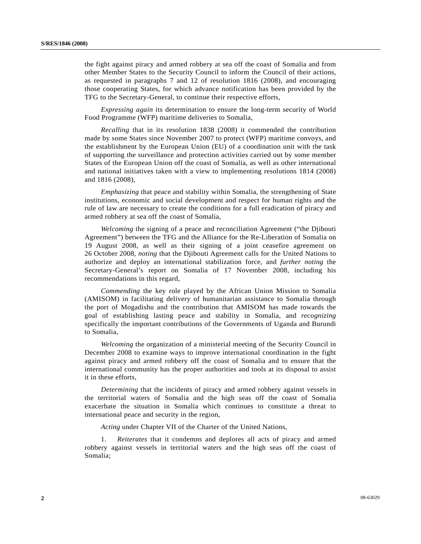the fight against piracy and armed robbery at sea off the coast of Somalia and from other Member States to the Security Council to inform the Council of their actions, as requested in paragraphs 7 and 12 of resolution 1816 (2008), and encouraging those cooperating States, for which advance notification has been provided by the TFG to the Secretary-General, to continue their respective efforts,

*Expressing again* its determination to ensure the long-term security of World Food Programme (WFP) maritime deliveries to Somalia,

*Recalling* that in its resolution 1838 (2008) it commended the contribution made by some States since November 2007 to protect (WFP) maritime convoys, and the establishment by the European Union (EU) of a coordination unit with the task of supporting the surveillance and protection activities carried out by some member States of the European Union off the coast of Somalia, as well as other international and national initiatives taken with a view to implementing resolutions 1814 (2008) and 1816 (2008),

*Emphasizing* that peace and stability within Somalia, the strengthening of State institutions, economic and social development and respect for human rights and the rule of law are necessary to create the conditions for a full eradication of piracy and armed robbery at sea off the coast of Somalia,

*Welcoming* the signing of a peace and reconciliation Agreement ("the Djibouti Agreement") between the TFG and the Alliance for the Re-Liberation of Somalia on 19 August 2008, as well as their signing of a joint ceasefire agreement on 26 October 2008, *noting* that the Djibouti Agreement calls for the United Nations to authorize and deploy an international stabilization force, and *further noting* the Secretary-General's report on Somalia of 17 November 2008, including his recommendations in this regard,

*Commending* the key role played by the African Union Mission to Somalia (AMISOM) in facilitating delivery of humanitarian assistance to Somalia through the port of Mogadishu and the contribution that AMISOM has made towards the goal of establishing lasting peace and stability in Somalia, and *recognizing* specifically the important contributions of the Governments of Uganda and Burundi to Somalia,

*Welcoming* the organization of a ministerial meeting of the Security Council in December 2008 to examine ways to improve international coordination in the fight against piracy and armed robbery off the coast of Somalia and to ensure that the international community has the proper authorities and tools at its disposal to assist it in these efforts,

*Determining* that the incidents of piracy and armed robbery against vessels in the territorial waters of Somalia and the high seas off the coast of Somalia exacerbate the situation in Somalia which continues to constitute a threat to international peace and security in the region,

*Acting* under Chapter VII of the Charter of the United Nations,

 1. *Reiterates* that it condemns and deplores all acts of piracy and armed robbery against vessels in territorial waters and the high seas off the coast of Somalia;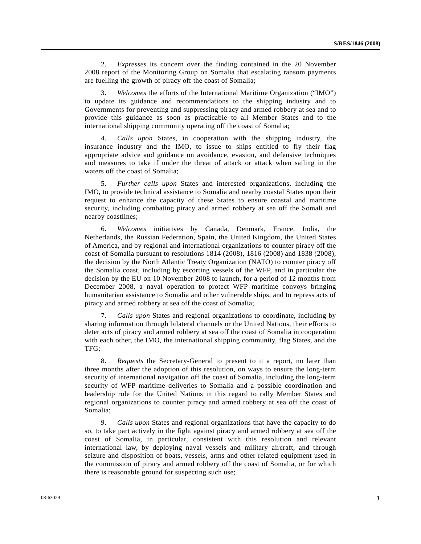2. *Expresses* its concern over the finding contained in the 20 November 2008 report of the Monitoring Group on Somalia that escalating ransom payments are fuelling the growth of piracy off the coast of Somalia;

 3. *Welcomes* the efforts of the International Maritime Organization ("IMO") to update its guidance and recommendations to the shipping industry and to Governments for preventing and suppressing piracy and armed robbery at sea and to provide this guidance as soon as practicable to all Member States and to the international shipping community operating off the coast of Somalia;

 4. *Calls upon* States, in cooperation with the shipping industry, the insurance industry and the IMO, to issue to ships entitled to fly their flag appropriate advice and guidance on avoidance, evasion, and defensive techniques and measures to take if under the threat of attack or attack when sailing in the waters off the coast of Somalia;

 5. *Further calls upon* States and interested organizations, including the IMO, to provide technical assistance to Somalia and nearby coastal States upon their request to enhance the capacity of these States to ensure coastal and maritime security, including combating piracy and armed robbery at sea off the Somali and nearby coastlines;

 6. *Welcomes* initiatives by Canada, Denmark, France, India, the Netherlands, the Russian Federation, Spain, the United Kingdom, the United States of America, and by regional and international organizations to counter piracy off the coast of Somalia pursuant to resolutions 1814 (2008), 1816 (2008) and 1838 (2008), the decision by the North Atlantic Treaty Organization (NATO) to counter piracy off the Somalia coast, including by escorting vessels of the WFP, and in particular the decision by the EU on 10 November 2008 to launch, for a period of 12 months from December 2008, a naval operation to protect WFP maritime convoys bringing humanitarian assistance to Somalia and other vulnerable ships, and to repress acts of piracy and armed robbery at sea off the coast of Somalia;

 7. *Calls upon* States and regional organizations to coordinate, including by sharing information through bilateral channels or the United Nations, their efforts to deter acts of piracy and armed robbery at sea off the coast of Somalia in cooperation with each other, the IMO, the international shipping community, flag States, and the TFG;

 8. *Requests* the Secretary-General to present to it a report, no later than three months after the adoption of this resolution, on ways to ensure the long-term security of international navigation off the coast of Somalia, including the long-term security of WFP maritime deliveries to Somalia and a possible coordination and leadership role for the United Nations in this regard to rally Member States and regional organizations to counter piracy and armed robbery at sea off the coast of Somalia;

 9. *Calls upon* States and regional organizations that have the capacity to do so, to take part actively in the fight against piracy and armed robbery at sea off the coast of Somalia, in particular, consistent with this resolution and relevant international law, by deploying naval vessels and military aircraft, and through seizure and disposition of boats, vessels, arms and other related equipment used in the commission of piracy and armed robbery off the coast of Somalia, or for which there is reasonable ground for suspecting such use;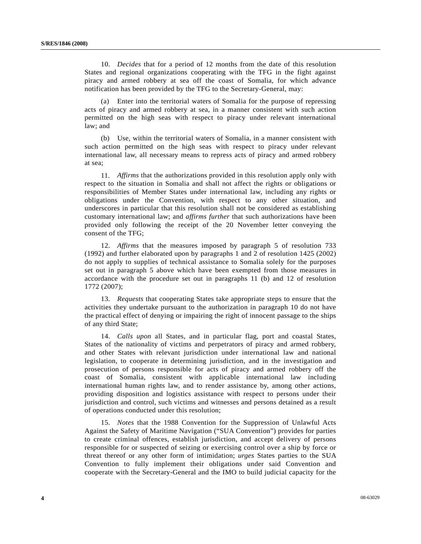10. *Decides* that for a period of 12 months from the date of this resolution States and regional organizations cooperating with the TFG in the fight against piracy and armed robbery at sea off the coast of Somalia, for which advance notification has been provided by the TFG to the Secretary-General, may:

 (a) Enter into the territorial waters of Somalia for the purpose of repressing acts of piracy and armed robbery at sea, in a manner consistent with such action permitted on the high seas with respect to piracy under relevant international law; and

 (b) Use, within the territorial waters of Somalia, in a manner consistent with such action permitted on the high seas with respect to piracy under relevant international law, all necessary means to repress acts of piracy and armed robbery at sea;

 11. *Affirms* that the authorizations provided in this resolution apply only with respect to the situation in Somalia and shall not affect the rights or obligations or responsibilities of Member States under international law, including any rights or obligations under the Convention, with respect to any other situation, and underscores in particular that this resolution shall not be considered as establishing customary international law; and *affirms further* that such authorizations have been provided only following the receipt of the 20 November letter conveying the consent of the TFG;

 12. *Affirms* that the measures imposed by paragraph 5 of resolution 733 (1992) and further elaborated upon by paragraphs 1 and 2 of resolution 1425 (2002) do not apply to supplies of technical assistance to Somalia solely for the purposes set out in paragraph 5 above which have been exempted from those measures in accordance with the procedure set out in paragraphs 11 (b) and 12 of resolution 1772 (2007);

 13. *Requests* that cooperating States take appropriate steps to ensure that the activities they undertake pursuant to the authorization in paragraph 10 do not have the practical effect of denying or impairing the right of innocent passage to the ships of any third State;

 14. *Calls upon* all States, and in particular flag, port and coastal States, States of the nationality of victims and perpetrators of piracy and armed robbery, and other States with relevant jurisdiction under international law and national legislation, to cooperate in determining jurisdiction, and in the investigation and prosecution of persons responsible for acts of piracy and armed robbery off the coast of Somalia, consistent with applicable international law including international human rights law, and to render assistance by, among other actions, providing disposition and logistics assistance with respect to persons under their jurisdiction and control, such victims and witnesses and persons detained as a result of operations conducted under this resolution;

 15. *Notes* that the 1988 Convention for the Suppression of Unlawful Acts Against the Safety of Maritime Navigation ("SUA Convention") provides for parties to create criminal offences, establish jurisdiction, and accept delivery of persons responsible for or suspected of seizing or exercising control over a ship by force or threat thereof or any other form of intimidation; *urges* States parties to the SUA Convention to fully implement their obligations under said Convention and cooperate with the Secretary-General and the IMO to build judicial capacity for the